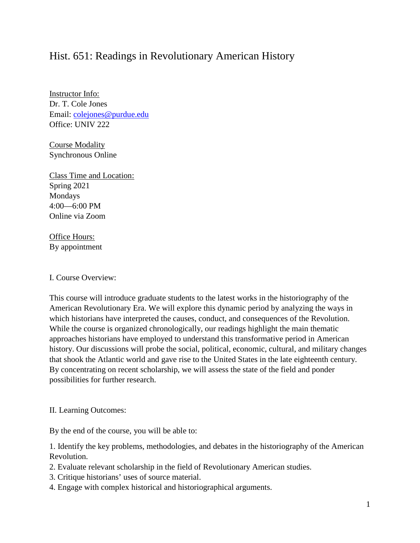# Hist. 651: Readings in Revolutionary American History

Instructor Info: Dr. T. Cole Jones Email: [colejones@purdue.edu](mailto:colejones@purdue.edu) Office: UNIV 222

Course Modality Synchronous Online

Class Time and Location: Spring 2021 Mondays 4:00—6:00 PM Online via Zoom

Office Hours: By appointment

I. Course Overview:

This course will introduce graduate students to the latest works in the historiography of the American Revolutionary Era. We will explore this dynamic period by analyzing the ways in which historians have interpreted the causes, conduct, and consequences of the Revolution. While the course is organized chronologically, our readings highlight the main thematic approaches historians have employed to understand this transformative period in American history. Our discussions will probe the social, political, economic, cultural, and military changes that shook the Atlantic world and gave rise to the United States in the late eighteenth century. By concentrating on recent scholarship, we will assess the state of the field and ponder possibilities for further research.

II. Learning Outcomes:

By the end of the course, you will be able to:

1. Identify the key problems, methodologies, and debates in the historiography of the American Revolution.

- 2. Evaluate relevant scholarship in the field of Revolutionary American studies.
- 3. Critique historians' uses of source material.
- 4. Engage with complex historical and historiographical arguments.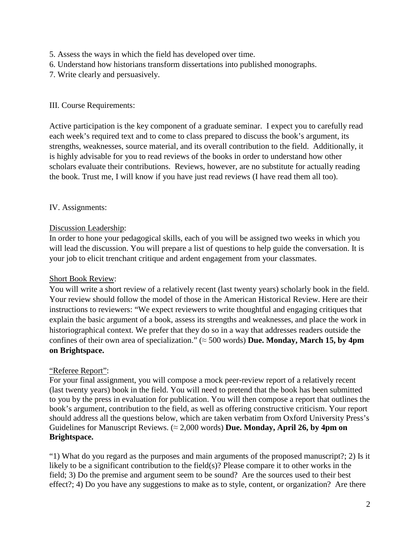- 5. Assess the ways in which the field has developed over time.
- 6. Understand how historians transform dissertations into published monographs.
- 7. Write clearly and persuasively.

# III. Course Requirements:

Active participation is the key component of a graduate seminar. I expect you to carefully read each week's required text and to come to class prepared to discuss the book's argument, its strengths, weaknesses, source material, and its overall contribution to the field. Additionally, it is highly advisable for you to read reviews of the books in order to understand how other scholars evaluate their contributions. Reviews, however, are no substitute for actually reading the book. Trust me, I will know if you have just read reviews (I have read them all too).

# IV. Assignments:

# Discussion Leadership:

In order to hone your pedagogical skills, each of you will be assigned two weeks in which you will lead the discussion. You will prepare a list of questions to help guide the conversation. It is your job to elicit trenchant critique and ardent engagement from your classmates.

# Short Book Review:

You will write a short review of a relatively recent (last twenty years) scholarly book in the field. Your review should follow the model of those in the American Historical Review. Here are their instructions to reviewers: "We expect reviewers to write thoughtful and engaging critiques that explain the basic argument of a book, assess its strengths and weaknesses, and place the work in historiographical context. We prefer that they do so in a way that addresses readers outside the confines of their own area of specialization." ( $\approx$  500 words) **Due. Monday, March 15, by 4pm on Brightspace.**

# "Referee Report":

For your final assignment, you will compose a mock peer-review report of a relatively recent (last twenty years) book in the field. You will need to pretend that the book has been submitted to you by the press in evaluation for publication. You will then compose a report that outlines the book's argument, contribution to the field, as well as offering constructive criticism. Your report should address all the questions below, which are taken verbatim from Oxford University Press's Guidelines for Manuscript Reviews. (≈ 2,000 words) **Due. Monday, April 26, by 4pm on Brightspace.**

"1) What do you regard as the purposes and main arguments of the proposed manuscript?; 2) Is it likely to be a significant contribution to the field(s)? Please compare it to other works in the field; 3) Do the premise and argument seem to be sound? Are the sources used to their best effect?; 4) Do you have any suggestions to make as to style, content, or organization? Are there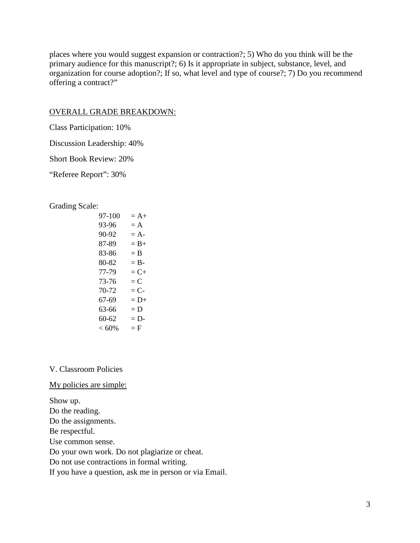places where you would suggest expansion or contraction?; 5) Who do you think will be the primary audience for this manuscript?; 6) Is it appropriate in subject, substance, level, and organization for course adoption?; If so, what level and type of course?; 7) Do you recommend offering a contract?"

#### OVERALL GRADE BREAKDOWN:

Class Participation: 10%

Discussion Leadership: 40%

Short Book Review: 20%

"Referee Report": 30%

Grading Scale:

| 97-100 | $= A +$ |
|--------|---------|
| 93-96  | $= A$   |
| 90-92  | $= A-$  |
| 87-89  | $= B+$  |
| 83-86  | $=$ B   |
| 80-82  | $=$ B-  |
| 77-79  | $= C +$ |
| 73-76  | $= C$   |
| 70-72  | $= C$ - |
| 67-69  | $= D+$  |
| 63-66  | $= D$   |
| 60-62  | $= D-$  |
| < 60%  | $=$ F   |

# V. Classroom Policies

#### My policies are simple:

Show up. Do the reading. Do the assignments. Be respectful. Use common sense. Do your own work. Do not plagiarize or cheat. Do not use contractions in formal writing. If you have a question, ask me in person or via Email.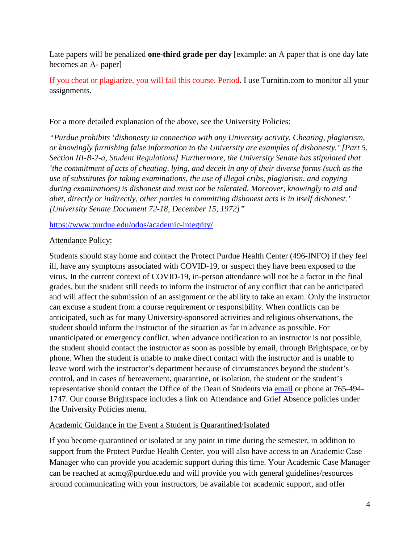Late papers will be penalized **one-third grade per day** [example: an A paper that is one day late becomes an A- paper]

If you cheat or plagiarize, you will fail this course. Period. I use Turnitin.com to monitor all your assignments.

For a more detailed explanation of the above, see the University Policies:

*"Purdue prohibits 'dishonesty in connection with any University activity. Cheating, plagiarism, or knowingly furnishing false information to the University are examples of dishonesty.' [Part 5, Section III-B-2-a, [Student Regulations\]](http://www.purdue.edu/univregs/) Furthermore, the University Senate has stipulated that 'the commitment of acts of cheating, lying, and deceit in any of their diverse forms (such as the use of substitutes for taking examinations, the use of illegal cribs, plagiarism, and copying during examinations) is dishonest and must not be tolerated. Moreover, knowingly to aid and abet, directly or indirectly, other parties in committing dishonest acts is in itself dishonest.' [University Senate Document 72-18, December 15, 1972]"*

<https://www.purdue.edu/odos/academic-integrity/>

# Attendance Policy:

Students should stay home and contact the Protect Purdue Health Center (496-INFO) if they feel ill, have any symptoms associated with COVID-19, or suspect they have been exposed to the virus*.* In the current context of COVID-19, in-person attendance will not be a factor in the final grades, but the student still needs to inform the instructor of any conflict that can be anticipated and will affect the submission of an assignment or the ability to take an exam. Only the instructor can excuse a student from a course requirement or responsibility. When conflicts can be anticipated, such as for many University-sponsored activities and religious observations, the student should inform the instructor of the situation as far in advance as possible. For unanticipated or emergency conflict, when advance notification to an instructor is not possible, the student should contact the instructor as soon as possible by email, through Brightspace, or by phone. When the student is unable to make direct contact with the instructor and is unable to leave word with the instructor's department because of circumstances beyond the student's control, and in cases of bereavement, quarantine, or isolation, the student or the student's representative should contact the Office of the Dean of Students via [email](mailto:odos@purdue.edu%20?subject=Student%20Bereavement%20Needs) or phone at 765-494- 1747. Our course Brightspace includes a link on Attendance and Grief Absence policies under the University Policies menu.

# Academic Guidance in the Event a Student is Quarantined/Isolated

If you become quarantined or isolated at any point in time during the semester, in addition to support from the Protect Purdue Health Center, you will also have access to an Academic Case Manager who can provide you academic support during this time. Your Academic Case Manager can be reached at [acmq@purdue.edu](mailto:acmq@purdue.edu) and will provide you with general guidelines/resources around communicating with your instructors, be available for academic support, and offer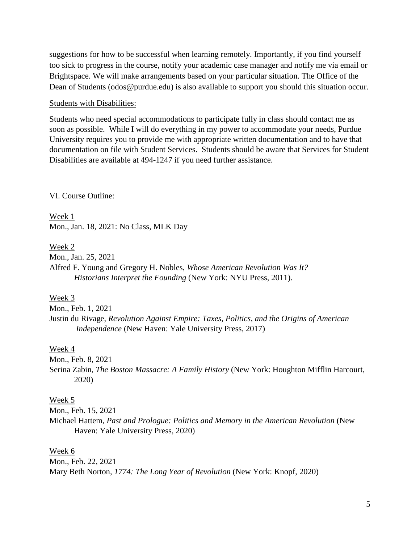suggestions for how to be successful when learning remotely. Importantly, if you find yourself too sick to progress in the course, notify your academic case manager and notify me via email or Brightspace. We will make arrangements based on your particular situation. The Office of the Dean of Students (odos@purdue.edu) is also available to support you should this situation occur.

#### Students with Disabilities:

Students who need special accommodations to participate fully in class should contact me as soon as possible. While I will do everything in my power to accommodate your needs, Purdue University requires you to provide me with appropriate written documentation and to have that documentation on file with Student Services. Students should be aware that Services for Student Disabilities are available at 494-1247 if you need further assistance.

VI. Course Outline:

Week 1 Mon., Jan. 18, 2021: No Class, MLK Day

Week 2

Mon., Jan. 25, 2021

Alfred F. Young and Gregory H. Nobles, *Whose American Revolution Was It? Historians Interpret the Founding* (New York: NYU Press, 2011).

Week 3

Mon., Feb. 1, 2021 Justin du Rivage, *Revolution Against Empire: Taxes, Politics, and the Origins of American Independence* (New Haven: Yale University Press, 2017)

#### Week 4

Mon., Feb. 8, 2021

Serina Zabin, *The Boston Massacre: A Family History* (New York: Houghton Mifflin Harcourt, 2020)

#### Week 5

Mon., Feb. 15, 2021

Michael Hattem, *Past and Prologue: Politics and Memory in the American Revolution* (New Haven: Yale University Press, 2020)

#### Week 6

Mon., Feb. 22, 2021 Mary Beth Norton, *1774: The Long Year of Revolution* (New York: Knopf, 2020)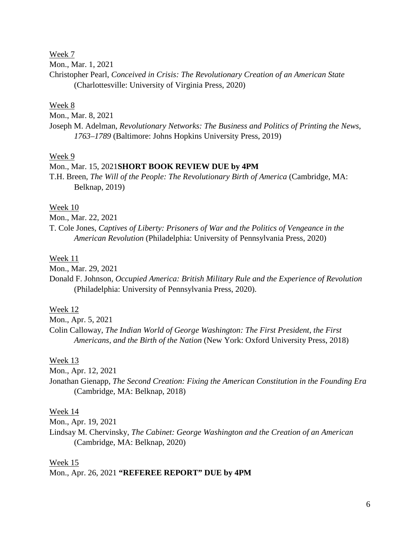Week 7

Mon., Mar. 1, 2021

Christopher Pearl, *Conceived in Crisis: The Revolutionary Creation of an American State* (Charlottesville: University of Virginia Press, 2020)

## Week 8

Mon., Mar. 8, 2021

Joseph M. Adelman, *Revolutionary Networks: The Business and Politics of Printing the News, 1763–1789* (Baltimore: Johns Hopkins University Press, 2019)

#### Week 9

#### Mon., Mar. 15, 2021**SHORT BOOK REVIEW DUE by 4PM**

T.H. Breen, *The Will of the People: The Revolutionary Birth of America* (Cambridge, MA: Belknap, 2019)

# Week 10

Mon., Mar. 22, 2021

T. Cole Jones, *Captives of Liberty: Prisoners of War and the Politics of Vengeance in the American Revolution* (Philadelphia: University of Pennsylvania Press, 2020)

#### Week 11

Mon., Mar. 29, 2021

Donald F. Johnson*, Occupied America: British Military Rule and the Experience of Revolution* (Philadelphia: University of Pennsylvania Press, 2020).

#### Week 12

Mon., Apr. 5, 2021

Colin Calloway, *The Indian World of George Washington: The First President, the First Americans, and the Birth of the Nation* (New York: Oxford University Press, 2018)

#### Week 13

Mon., Apr. 12, 2021

Jonathan Gienapp, *The Second Creation: Fixing the American Constitution in the Founding Era* (Cambridge, MA: Belknap, 2018)

# Week 14

Mon., Apr. 19, 2021

Lindsay M. Chervinsky, *The Cabinet: George Washington and the Creation of an American*  (Cambridge, MA: Belknap, 2020)

Week 15 Mon., Apr. 26, 2021 **"REFEREE REPORT" DUE by 4PM**